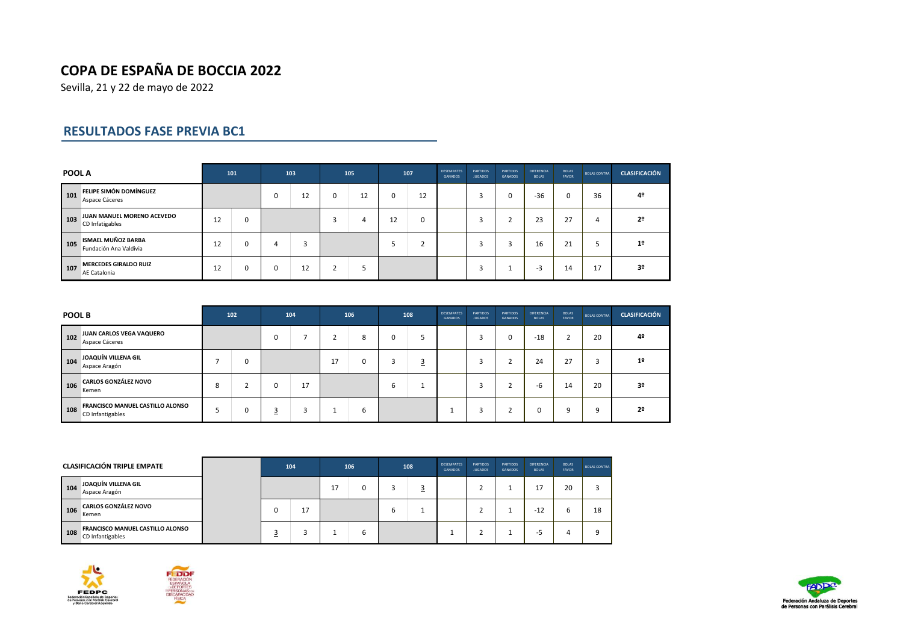Sevilla, 21 y 22 de mayo de 2022

## **RESULTADOS FASE PREVIA BC1**

| POOL A |                                                     |    | 101 |   | 103 |          | 105 |    | 107    | <b>DESEMPATES</b><br><b>GANADOS</b> | <b>PARTIDOS</b><br><b>JUGADOS</b> | <b>PARTIDOS</b><br><b>GANADOS</b> | DIFERENCIA<br><b>BOLAS</b> | <b>BOLAS</b><br><b>FAVOR</b> | <b>BOLAS CONTRA</b> | <b>CLASIFICACIÓN</b> |
|--------|-----------------------------------------------------|----|-----|---|-----|----------|-----|----|--------|-------------------------------------|-----------------------------------|-----------------------------------|----------------------------|------------------------------|---------------------|----------------------|
| 101    | <b>FELIPE SIMÓN DOMÍNGUEZ</b><br>Aspace Cáceres     |    |     | 0 | 12  | $\Omega$ | 12  | 0  | 12     |                                     |                                   | 0                                 | $-36$                      | 0                            | 36                  | 4º                   |
| 103    | JUAN MANUEL MORENO ACEVEDO<br>CD Infatigables       | 12 | O   |   |     | p        | 4   | 12 | 0      |                                     |                                   |                                   | 23                         | 27                           | 4                   | 2º                   |
| 105    | <b>ISMAEL MUÑOZ BARBA</b><br>Fundación Ana Valdivia | 12 | 0   | 4 |     |          |     |    | ٠<br>∠ |                                     |                                   | 3                                 | 16                         | 21                           |                     | 1 <sup>2</sup>       |
| 107    | <b>MERCEDES GIRALDO RUIZ</b><br>AE Catalonia        | 12 | 0   | 0 | 12  |          |     |    |        |                                     |                                   |                                   | -3                         | 14                           | 17                  | 3 <sup>o</sup>       |

| POOL B |                                                      |   | 102 |             | 104 |               | 106 |   | 108 | <b>DESEMPATES</b><br><b>GANADOS</b> | <b>PARTIDOS</b><br><b>JUGADOS</b> | <b>PARTIDOS</b><br><b>GANADOS</b> | <b>DIFERENCIA</b><br><b>BOLAS</b> | <b>BOLAS</b><br><b>FAVOR</b> | <b>BOLAS CONTRA</b> | <b>CLASIFICACIÓN</b> |
|--------|------------------------------------------------------|---|-----|-------------|-----|---------------|-----|---|-----|-------------------------------------|-----------------------------------|-----------------------------------|-----------------------------------|------------------------------|---------------------|----------------------|
| 102    | JUAN CARLOS VEGA VAQUERO<br>Aspace Cáceres           |   |     | $\mathbf 0$ |     |               | 8   | 0 |     |                                     |                                   | 0                                 | $-18$                             | h<br>∠                       | 20                  | 4º                   |
| 104    | JOAQUÍN VILLENA GIL<br>Aspace Aragón                 |   |     |             |     | 17<br>$\pm I$ | 0   |   | ⊇   |                                     |                                   |                                   | 24                                | 27                           | $\overline{ }$      | 1 <sup>2</sup>       |
| 106    | <b>CARLOS GONZÁLEZ NOVO</b><br>Kemen                 | 8 |     | 0           | 17  |               |     | b |     |                                     |                                   |                                   | -b                                | 14                           | 20                  | 3 <sup>o</sup>       |
| 108    | FRANCISCO MANUEL CASTILLO ALONSO<br>CD Infantigables |   |     | <u>3</u>    | 3   |               | b   |   |     |                                     |                                   |                                   |                                   | 9                            |                     | 22                   |

|     | <b>CLASIFICACIÓN TRIPLE EMPATE</b>                          |  | 104 |    | 106 |   | 108 | <b>DESEMPATES</b><br><b>GANADOS</b> | <b>PARTIDOS</b><br><b>JUGADOS</b> | <b>PARTIDOS</b><br><b>GANADOS</b> | <b>DIFERENCIA</b><br><b>BOLAS</b> | <b>BOLAS</b><br><b>FAVOR</b> | <b>BOLAS CONTRA</b> |
|-----|-------------------------------------------------------------|--|-----|----|-----|---|-----|-------------------------------------|-----------------------------------|-----------------------------------|-----------------------------------|------------------------------|---------------------|
| 104 | JOAQUÍN VILLENA GIL<br>Aspace Aragón                        |  |     | 17 | 0   |   |     |                                     |                                   |                                   |                                   | 20                           |                     |
| 106 | <b>CARLOS GONZÁLEZ NOVO</b><br>Kemen                        |  | 17  |    |     | b |     |                                     |                                   |                                   | $-12$                             |                              | 18                  |
| 108 | <b>FRANCISCO MANUEL CASTILLO ALONSO</b><br>CD Infantigables |  |     |    | b   |   |     |                                     |                                   |                                   | --                                |                              |                     |





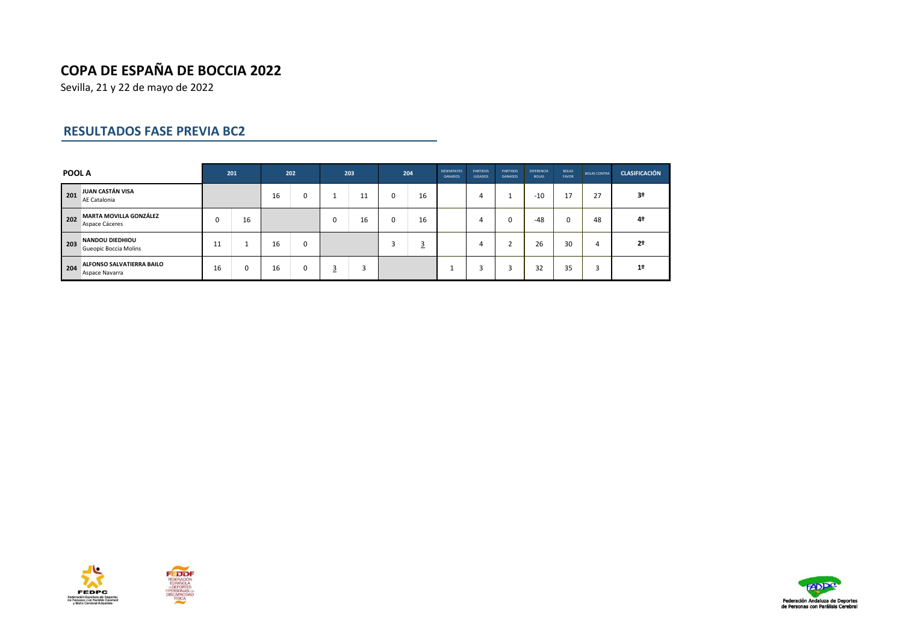Sevilla, 21 y 22 de mayo de 2022

### **RESULTADOS FASE PREVIA BC2**

| <b>POOL A</b> |                                                 |    | 201 |    | 202         |          | 203 |   | 204            | <b>DESEMPATES</b><br><b>GANADOS</b> | <b>PARTIDOS</b><br><b>JUGADOS</b> | <b>PARTIDOS</b><br><b>GANADOS</b> | <b>DIFERENCIA</b><br><b>BOLAS</b> | <b>BOLAS</b><br><b>FAVOR</b> | <b>BOLAS CONTRA</b> | <b>CLASIFICACIÓN</b> |
|---------------|-------------------------------------------------|----|-----|----|-------------|----------|-----|---|----------------|-------------------------------------|-----------------------------------|-----------------------------------|-----------------------------------|------------------------------|---------------------|----------------------|
| 201           | JUAN CASTÁN VISA<br>AE Catalonia                |    |     |    | 0           |          | 11  | 0 | 16             |                                     | 4                                 |                                   | $-10$                             | 17                           | 27                  | 3 <sup>o</sup>       |
| 202           | <b>MARTA MOVILLA GONZÁLEZ</b><br>Aspace Cáceres | 0  | 16  |    |             | $\Omega$ | 16  | 0 | 16             |                                     | 4                                 | $\Omega$                          | $-48$                             | 0                            | 48                  | 4º                   |
| 203           | <b>NANDOU DIEDHIOU</b><br>Gueopic Boccia Molins | 11 |     | 16 | $\mathbf 0$ |          |     |   | $\overline{3}$ |                                     | 4                                 |                                   | 26                                | 30                           | 4                   | 2º                   |
| 204           | ALFONSO SALVATIERRA BAILO<br>Aspace Navarra     | 16 | 0   | 16 | 0           | З        |     |   |                |                                     | 3                                 | 3                                 | 32                                | 35                           |                     | 1 <sup>°</sup>       |





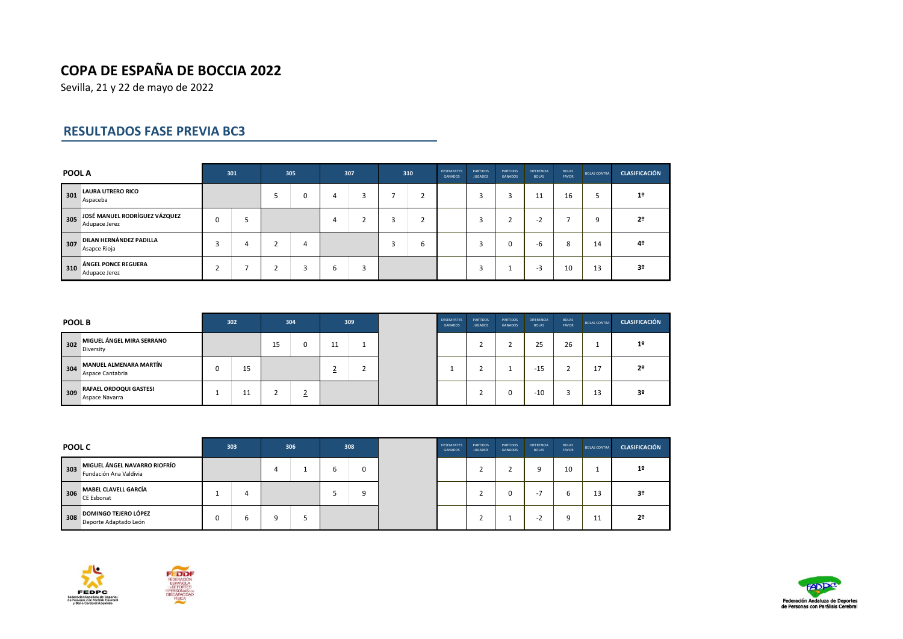Sevilla, 21 y 22 de mayo de 2022

## **RESULTADOS FASE PREVIA BC3**

| POOL A |                                                |   | 301 |                          | 305 |   | 307 | 310                 | <b>DESEMPATES</b><br><b>GANADOS</b> | <b>PARTIDOS</b><br><b>JUGADOS</b> | <b>PARTIDOS</b><br><b>GANADOS</b> | DIFERENCIA<br><b>BOLAS</b> | <b>BOLAS</b><br><b>FAVOR</b> | <b>BOLAS CONTRA</b> | <b>CLASIFICACIÓN</b> |
|--------|------------------------------------------------|---|-----|--------------------------|-----|---|-----|---------------------|-------------------------------------|-----------------------------------|-----------------------------------|----------------------------|------------------------------|---------------------|----------------------|
| 301    | <b>LAURA UTRERO RICO</b><br>Aspaceba           |   |     |                          | 0   | 4 |     | $\overline{ }$<br>∠ |                                     |                                   | c<br>3                            | 11<br>ᆚ                    | 16                           |                     | 1 <sup>°</sup>       |
| 305    | JOSÉ MANUEL RODRÍGUEZ VÁZQUEZ<br>Adupace Jerez | 0 |     |                          |     | 4 |     | $\overline{ }$<br>∠ |                                     |                                   |                                   | -2                         |                              | $\Omega$            | 2 <sup>0</sup>       |
| 307    | DILAN HERNÁNDEZ PADILLA<br>Asapce Rioja        |   |     |                          | 4   |   |     | O                   |                                     |                                   | 0                                 | -b                         | 8                            | 14                  | 42                   |
| 310    | ÁNGEL PONCE REGUERA<br>Adupace Jerez           |   |     | $\overline{\phantom{0}}$ | 3   | 6 |     |                     |                                     |                                   |                                   | -3                         | 10                           | 13                  | 3 <sup>o</sup>       |

|     | <b>POOL B</b>                                |  | 302              |    | 304 |                          | 309 | <b>DESEMPATES</b><br><b>GANADOS</b> | <b>PARTIDOS</b><br><b>JUGADOS</b> | <b>PARTIDOS</b><br><b>GANADOS</b> | <b>DIFERENCIA</b><br><b>BOLAS</b> | <b>BOLAS</b><br><b>FAVOR</b> | <b>BOLAS CONTRA</b> | <b>CLASIFICACIÓN</b> |
|-----|----------------------------------------------|--|------------------|----|-----|--------------------------|-----|-------------------------------------|-----------------------------------|-----------------------------------|-----------------------------------|------------------------------|---------------------|----------------------|
| 302 | MIGUEL ÁNGEL MIRA SERRANO<br>Diversity       |  |                  | 15 | 0   | 11<br>ᆠ                  | ۰   |                                     |                                   |                                   | $\sim$ $-$<br>25                  | 26                           |                     | 1 <sup>2</sup>       |
| 304 | MANUEL ALMENARA MARTÍN<br>Aspace Cantabria   |  | 15               |    |     | $\overline{\phantom{a}}$ | ı   |                                     |                                   |                                   | $-15$                             |                              | 17<br>⊥             | 2º                   |
|     | 309 RAFAEL ORDOQUI GASTESI<br>Aspace Navarra |  | 11<br><b>. .</b> |    |     |                          |     |                                     |                                   | O                                 | $-10$                             |                              | 13                  | 3 <sup>o</sup>       |

|     | <b>POOL C</b>                                          |   | 303 |   | 306 | 308 | <b>DESEMPATES</b><br><b>GANADOS</b> | <b>PARTIDOS</b><br><b>JUGADOS</b> | <b>PARTIDOS</b><br><b>GANADOS</b> | <b>DIFERENCIA</b><br><b>BOLAS</b> | <b>BOLAS</b><br><b>FAVOR</b> | <b>BOLAS CONTRA</b> | <b>CLASIFICACIÓN</b> |
|-----|--------------------------------------------------------|---|-----|---|-----|-----|-------------------------------------|-----------------------------------|-----------------------------------|-----------------------------------|------------------------------|---------------------|----------------------|
| 303 | MIGUEL ÁNGEL NAVARRO RIOFRÍO<br>Fundación Ana Valdivia |   |     |   |     | U   |                                     |                                   |                                   |                                   | 10                           |                     | 1º                   |
| 306 | <b>MABEL CLAVELL GARCÍA</b><br>CE Esbonat              |   |     |   |     |     |                                     |                                   |                                   | .                                 | ь                            | 13                  | 3º                   |
| 308 | <b>DOMINGO TEJERO LÓPEZ</b><br>Deporte Adaptado León   | 0 |     | a |     |     |                                     |                                   |                                   | ۰.                                | a                            | 11                  | 2º                   |





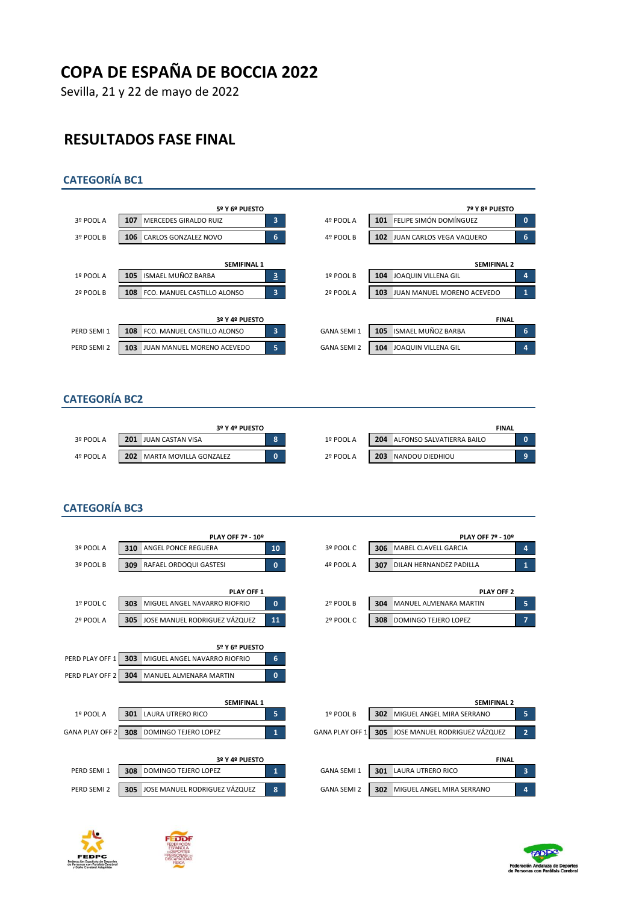Sevilla, 21 y 22 de mayo de 2022

## **RESULTADOS FASE FINAL**

#### **CATEGORÍA BC1**



#### **CATEGORÍA BC2**

|           | 3º Y 4º PUESTO                       |           |     |                           | <b>FINAL</b> |  |
|-----------|--------------------------------------|-----------|-----|---------------------------|--------------|--|
| 3º POOL A | 201<br>JUAN CASTAN VISA              | 1º POOL A | 204 | ALFONSO SALVATIERRA BAILO |              |  |
| 4º POOL A | 202<br><b>MARTA MOVILLA GONZALEZ</b> | 2º POOL A | 203 | NANDOU DIEDHIOU           |              |  |

#### **CATEGORÍA BC3**

|                                    |            | PLAY OFF 7º - 10º                                                               |              |                        |     | PLAY OFF 7º - 10º                 |   |
|------------------------------------|------------|---------------------------------------------------------------------------------|--------------|------------------------|-----|-----------------------------------|---|
| 3º POOL A                          | 310        | <b>ANGEL PONCE REGUERA</b>                                                      | 10           | 3º POOL C              | 306 | MABEL CLAVELL GARCIA              | 4 |
| 3º POOL B                          | 309        | <b>RAFAEL ORDOQUI GASTESI</b>                                                   | $\mathbf{0}$ | 4º POOL A              | 307 | DILAN HERNANDEZ PADILLA           | 1 |
|                                    |            | PLAY OFF 1                                                                      |              |                        |     | PLAY OFF 2                        |   |
| 1º POOL C                          | 303        | MIGUEL ANGEL NAVARRO RIOFRIO                                                    | $\mathbf{0}$ | 2º POOL B              | 304 | MANUEL ALMENARA MARTIN            | 5 |
| 2º POOL A                          | 305        | JOSE MANUEL RODRIGUEZ VÁZQUEZ                                                   | 11           | 2º POOL C              | 308 | DOMINGO TEJERO LOPEZ              |   |
| PERD PLAY OFF 1<br>PERD PLAY OFF 2 | 303<br>304 | 5º Y 6º PUESTO<br>MIGUEL ANGEL NAVARRO RIOFRIO<br><b>MANUEL ALMENARA MARTIN</b> | 6            |                        |     |                                   |   |
|                                    |            | <b>SEMIFINAL 1</b>                                                              | $\mathbf{0}$ |                        |     | <b>SEMIFINAL 2</b>                |   |
| 1º POOL A                          | 301        | <b>LAURA UTRERO RICO</b>                                                        | 5.           | 1º POOL B              | 302 | MIGUEL ANGEL MIRA SERRANO         | 5 |
| <b>GANA PLAY OFF 2</b>             | 308        | DOMINGO TEJERO LOPEZ                                                            | $\mathbf{1}$ | <b>GANA PLAY OFF 1</b> | 305 | JOSE MANUEL RODRIGUEZ VÁZQUEZ     | 2 |
| PERD SEMI 1                        | 308        | 3º Y 4º PUESTO<br>DOMINGO TEJERO LOPEZ                                          | $\mathbf{1}$ | <b>GANA SEMI 1</b>     | 301 | <b>FINAL</b><br>LAURA UTRERO RICO | з |
|                                    |            |                                                                                 |              |                        |     |                                   |   |
| PERD SEMI 2                        | 305        | JOSE MANUEL RODRIGUEZ VÁZQUEZ                                                   | 8            | <b>GANA SEMI 2</b>     | 302 | MIGUEL ANGEL MIRA SERRANO         | 4 |

| PLAY OFF 7º - 10º  |    |           |     | PLAY OFF 7º - 10º       |   |
|--------------------|----|-----------|-----|-------------------------|---|
| RA                 | 10 | 3º POOL C | 306 | MABEL CLAVELL GARCIA    | 4 |
| STESI              | 0  | 4º POOL A | 307 | DILAN HERNANDEZ PADILLA | и |
|                    |    |           |     |                         |   |
| <b>PLAY OFF 1</b>  |    |           |     | <b>PLAY OFF 2</b>       |   |
| <b>BBO BIOFRIA</b> | -  | $\cdots$  |     |                         | - |

| 2º POOL B | 304 | MANUEL ALMENARA MARTIN      |  |
|-----------|-----|-----------------------------|--|
| 2º POOL C | 308 | <b>DOMINGO TEJERO LOPEZ</b> |  |

| <b>SEMIFINAL 1</b> |   |                        |     | <b>SEMIFINAL 2</b>                |                |
|--------------------|---|------------------------|-----|-----------------------------------|----------------|
|                    | 5 | 1º POOL B              | 302 | MIGUEL ANGEL MIRA SERRANO         | 5              |
| Z                  |   | <b>GANA PLAY OFF 1</b> |     | 305 JOSE MANUEL RODRIGUEZ VÁZQUEZ | $\overline{2}$ |
| 3º Y 4º PUESTO     |   |                        |     | <b>FINAL</b>                      |                |
| ٠Z                 | 1 | <b>GANA SEMI 1</b>     | 301 | LAURA UTRERO RICO                 | 3              |
| JEZ VÁZQUEZ        | 8 | <b>GANA SEMI 2</b>     | 302 | MIGUEL ANGEL MIRA SERRANO         | 4              |